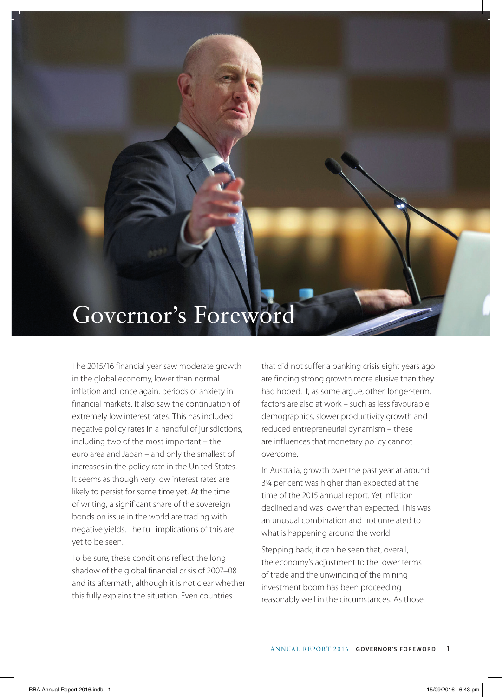## Governor's Foreword

The 2015/16 financial year saw moderate growth in the global economy, lower than normal inflation and, once again, periods of anxiety in financial markets. It also saw the continuation of extremely low interest rates. This has included negative policy rates in a handful of jurisdictions, including two of the most important – the euro area and Japan – and only the smallest of increases in the policy rate in the United States. It seems as though very low interest rates are likely to persist for some time yet. At the time of writing, a significant share of the sovereign bonds on issue in the world are trading with negative yields. The full implications of this are yet to be seen.

To be sure, these conditions reflect the long shadow of the global financial crisis of 2007–08 and its aftermath, although it is not clear whether this fully explains the situation. Even countries

that did not suffer a banking crisis eight years ago are finding strong growth more elusive than they had hoped. If, as some argue, other, longer-term, factors are also at work – such as less favourable demographics, slower productivity growth and reduced entrepreneurial dynamism – these are influences that monetary policy cannot overcome.

In Australia, growth over the past year at around 3¼ per cent was higher than expected at the time of the 2015 annual report. Yet inflation declined and was lower than expected. This was an unusual combination and not unrelated to what is happening around the world.

Stepping back, it can be seen that, overall, the economy's adjustment to the lower terms of trade and the unwinding of the mining investment boom has been proceeding reasonably well in the circumstances. As those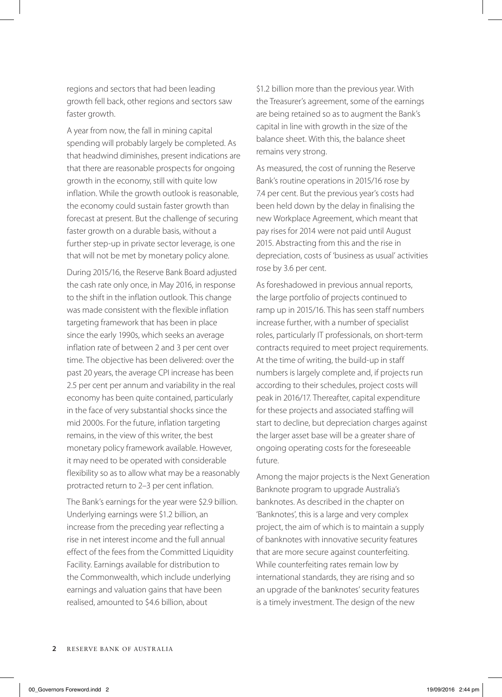regions and sectors that had been leading growth fell back, other regions and sectors saw faster growth.

A year from now, the fall in mining capital spending will probably largely be completed. As that headwind diminishes, present indications are that there are reasonable prospects for ongoing growth in the economy, still with quite low inflation. While the growth outlook is reasonable, the economy could sustain faster growth than forecast at present. But the challenge of securing faster growth on a durable basis, without a further step-up in private sector leverage, is one that will not be met by monetary policy alone.

During 2015/16, the Reserve Bank Board adjusted the cash rate only once, in May 2016, in response to the shift in the inflation outlook. This change was made consistent with the flexible inflation targeting framework that has been in place since the early 1990s, which seeks an average inflation rate of between 2 and 3 per cent over time. The objective has been delivered: over the past 20 years, the average CPI increase has been 2.5 per cent per annum and variability in the real economy has been quite contained, particularly in the face of very substantial shocks since the mid 2000s. For the future, inflation targeting remains, in the view of this writer, the best monetary policy framework available. However, it may need to be operated with considerable flexibility so as to allow what may be a reasonably protracted return to 2–3 per cent inflation.

The Bank's earnings for the year were \$2.9 billion. Underlying earnings were \$1.2 billion, an increase from the preceding year reflecting a rise in net interest income and the full annual effect of the fees from the Committed Liquidity Facility. Earnings available for distribution to the Commonwealth, which include underlying earnings and valuation gains that have been realised, amounted to \$4.6 billion, about

\$1.2 billion more than the previous year. With the Treasurer's agreement, some of the earnings are being retained so as to augment the Bank's capital in line with growth in the size of the balance sheet. With this, the balance sheet remains very strong.

As measured, the cost of running the Reserve Bank's routine operations in 2015/16 rose by 7.4 per cent. But the previous year's costs had been held down by the delay in finalising the new Workplace Agreement, which meant that pay rises for 2014 were not paid until August 2015. Abstracting from this and the rise in depreciation, costs of 'business as usual' activities rose by 3.6 per cent.

As foreshadowed in previous annual reports, the large portfolio of projects continued to ramp up in 2015/16. This has seen staff numbers increase further, with a number of specialist roles, particularly IT professionals, on short-term contracts required to meet project requirements. At the time of writing, the build-up in staff numbers is largely complete and, if projects run according to their schedules, project costs will peak in 2016/17. Thereafter, capital expenditure for these projects and associated staffing will start to decline, but depreciation charges against the larger asset base will be a greater share of ongoing operating costs for the foreseeable future.

Among the major projects is the Next Generation Banknote program to upgrade Australia's banknotes. As described in the chapter on 'Banknotes', this is a large and very complex project, the aim of which is to maintain a supply of banknotes with innovative security features that are more secure against counterfeiting. While counterfeiting rates remain low by international standards, they are rising and so an upgrade of the banknotes' security features is a timely investment. The design of the new